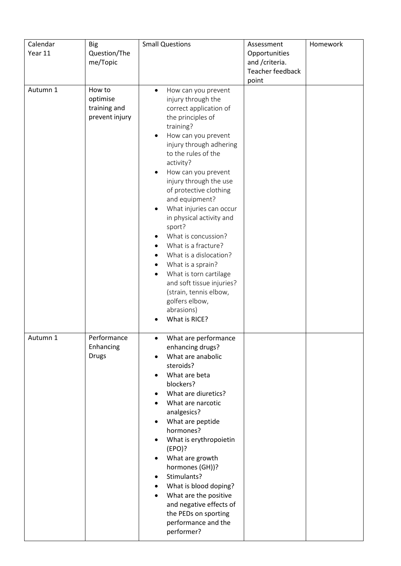| Calendar | <b>Big</b>     | <b>Small Questions</b>                         | Assessment              | Homework |
|----------|----------------|------------------------------------------------|-------------------------|----------|
| Year 11  | Question/The   |                                                | Opportunities           |          |
|          | me/Topic       |                                                | and / criteria.         |          |
|          |                |                                                | <b>Teacher feedback</b> |          |
|          |                |                                                | point                   |          |
| Autumn 1 | How to         | How can you prevent<br>$\bullet$               |                         |          |
|          | optimise       | injury through the                             |                         |          |
|          | training and   | correct application of                         |                         |          |
|          | prevent injury | the principles of                              |                         |          |
|          |                | training?                                      |                         |          |
|          |                | How can you prevent<br>injury through adhering |                         |          |
|          |                | to the rules of the                            |                         |          |
|          |                | activity?                                      |                         |          |
|          |                | How can you prevent                            |                         |          |
|          |                | injury through the use                         |                         |          |
|          |                | of protective clothing                         |                         |          |
|          |                | and equipment?                                 |                         |          |
|          |                | What injuries can occur                        |                         |          |
|          |                | in physical activity and                       |                         |          |
|          |                | sport?                                         |                         |          |
|          |                | What is concussion?                            |                         |          |
|          |                | What is a fracture?<br>$\bullet$               |                         |          |
|          |                | What is a dislocation?<br>$\bullet$            |                         |          |
|          |                | What is a sprain?<br>٠                         |                         |          |
|          |                | What is torn cartilage<br>٠                    |                         |          |
|          |                | and soft tissue injuries?                      |                         |          |
|          |                | (strain, tennis elbow,<br>golfers elbow,       |                         |          |
|          |                | abrasions)                                     |                         |          |
|          |                | What is RICE?                                  |                         |          |
|          |                |                                                |                         |          |
| Autumn 1 | Performance    | What are performance<br>٠                      |                         |          |
|          | Enhancing      | enhancing drugs?                               |                         |          |
|          | <b>Drugs</b>   | What are anabolic                              |                         |          |
|          |                | steroids?                                      |                         |          |
|          |                | What are beta<br>$\bullet$                     |                         |          |
|          |                | blockers?                                      |                         |          |
|          |                | What are diuretics?                            |                         |          |
|          |                | What are narcotic                              |                         |          |
|          |                | analgesics?                                    |                         |          |
|          |                | What are peptide<br>hormones?                  |                         |          |
|          |                | What is erythropoietin<br>٠                    |                         |          |
|          |                | (EPO)?                                         |                         |          |
|          |                | What are growth                                |                         |          |
|          |                | hormones (GH))?                                |                         |          |
|          |                | Stimulants?<br>٠                               |                         |          |
|          |                | What is blood doping?<br>٠                     |                         |          |
|          |                | What are the positive<br>$\bullet$             |                         |          |
|          |                | and negative effects of                        |                         |          |
|          |                | the PEDs on sporting                           |                         |          |
|          |                | performance and the                            |                         |          |
|          |                | performer?                                     |                         |          |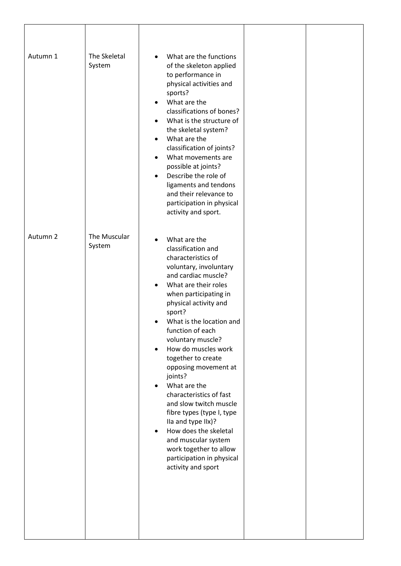| Autumn 1 | The Skeletal<br>System | What are the functions<br>$\bullet$<br>of the skeleton applied<br>to performance in<br>physical activities and<br>sports?<br>What are the<br>classifications of bones?<br>What is the structure of<br>$\bullet$<br>the skeletal system?<br>What are the<br>$\bullet$<br>classification of joints?<br>What movements are<br>٠<br>possible at joints?<br>Describe the role of<br>$\bullet$<br>ligaments and tendons<br>and their relevance to<br>participation in physical<br>activity and sport.                                                                                                                           |
|----------|------------------------|---------------------------------------------------------------------------------------------------------------------------------------------------------------------------------------------------------------------------------------------------------------------------------------------------------------------------------------------------------------------------------------------------------------------------------------------------------------------------------------------------------------------------------------------------------------------------------------------------------------------------|
| Autumn 2 | The Muscular<br>System | What are the<br>classification and<br>characteristics of<br>voluntary, involuntary<br>and cardiac muscle?<br>What are their roles<br>٠<br>when participating in<br>physical activity and<br>sport?<br>What is the location and<br>function of each<br>voluntary muscle?<br>How do muscles work<br>together to create<br>opposing movement at<br>joints?<br>What are the<br>characteristics of fast<br>and slow twitch muscle<br>fibre types (type I, type<br>Ila and type IIx)?<br>How does the skeletal<br>$\bullet$<br>and muscular system<br>work together to allow<br>participation in physical<br>activity and sport |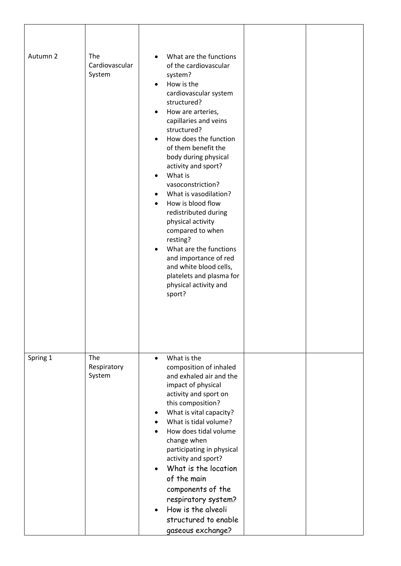| Autumn 2 | The<br>Cardiovascular<br>System | What are the functions<br>of the cardiovascular<br>system?<br>How is the<br>$\bullet$<br>cardiovascular system<br>structured?<br>How are arteries,<br>$\bullet$<br>capillaries and veins<br>structured?<br>How does the function<br>$\bullet$<br>of them benefit the<br>body during physical<br>activity and sport?<br>What is<br>$\bullet$<br>vasoconstriction?<br>What is vasodilation?<br>٠<br>How is blood flow<br>٠<br>redistributed during<br>physical activity<br>compared to when<br>resting?<br>What are the functions<br>$\bullet$<br>and importance of red<br>and white blood cells,<br>platelets and plasma for<br>physical activity and<br>sport? |
|----------|---------------------------------|----------------------------------------------------------------------------------------------------------------------------------------------------------------------------------------------------------------------------------------------------------------------------------------------------------------------------------------------------------------------------------------------------------------------------------------------------------------------------------------------------------------------------------------------------------------------------------------------------------------------------------------------------------------|
| Spring 1 | The<br>Respiratory<br>System    | What is the<br>$\bullet$<br>composition of inhaled<br>and exhaled air and the<br>impact of physical<br>activity and sport on<br>this composition?<br>What is vital capacity?<br>What is tidal volume?<br>How does tidal volume<br>change when<br>participating in physical<br>activity and sport?<br>What is the location<br>of the main<br>components of the<br>respiratory system?<br>How is the alveoli<br>structured to enable<br>gaseous exchange?                                                                                                                                                                                                        |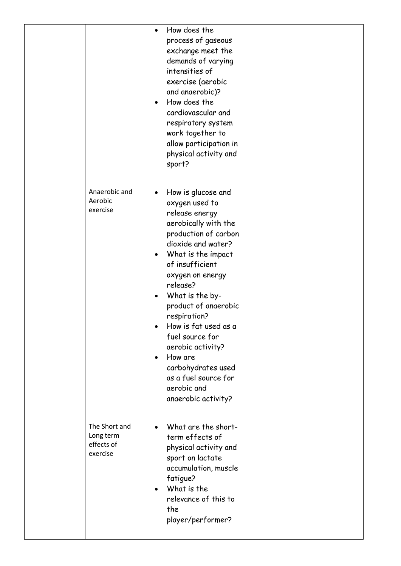|                                                      | How does the<br>process of gaseous<br>exchange meet the<br>demands of varying<br>intensities of<br>exercise (aerobic<br>and anaerobic)?<br>How does the<br>$\bullet$<br>cardiovascular and<br>respiratory system<br>work together to<br>allow participation in<br>physical activity and<br>sport?                                                                                                                                                                                   |
|------------------------------------------------------|-------------------------------------------------------------------------------------------------------------------------------------------------------------------------------------------------------------------------------------------------------------------------------------------------------------------------------------------------------------------------------------------------------------------------------------------------------------------------------------|
| Anaerobic and<br>Aerobic<br>exercise                 | How is glucose and<br>$\bullet$<br>oxygen used to<br>release energy<br>aerobically with the<br>production of carbon<br>dioxide and water?<br>What is the impact<br>$\bullet$<br>of insufficient<br>oxygen on energy<br>release?<br>What is the by-<br>$\bullet$<br>product of anaerobic<br>respiration?<br>How is fat used as a<br>fuel source for<br>aerobic activity?<br>How are<br>$\bullet$<br>carbohydrates used<br>as a fuel source for<br>aerobic and<br>anaerobic activity? |
| The Short and<br>Long term<br>effects of<br>exercise | What are the short-<br>term effects of<br>physical activity and<br>sport on lactate<br>accumulation, muscle<br>fatigue?<br>What is the<br>relevance of this to<br>the<br>player/performer?                                                                                                                                                                                                                                                                                          |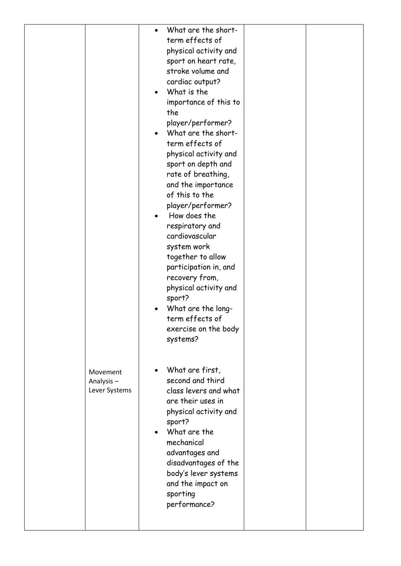|                                        | What are the short-<br>term effects of<br>physical activity and<br>sport on heart rate,<br>stroke volume and<br>cardiac output?<br>What is the<br>importance of this to<br>the<br>player/performer?<br>What are the short-<br>term effects of<br>physical activity and<br>sport on depth and<br>rate of breathing,<br>and the importance<br>of this to the<br>player/performer?<br>How does the<br>respiratory and<br>cardiovascular<br>system work<br>together to allow<br>participation in, and<br>recovery from,<br>physical activity and<br>sport?<br>What are the long-<br>term effects of<br>exercise on the body<br>systems? |  |
|----------------------------------------|-------------------------------------------------------------------------------------------------------------------------------------------------------------------------------------------------------------------------------------------------------------------------------------------------------------------------------------------------------------------------------------------------------------------------------------------------------------------------------------------------------------------------------------------------------------------------------------------------------------------------------------|--|
| Movement<br>Analysis-<br>Lever Systems | What are first,<br>second and third<br>class levers and what<br>are their uses in<br>physical activity and<br>sport?<br>What are the<br>mechanical<br>advantages and<br>disadvantages of the<br>body's lever systems<br>and the impact on<br>sporting<br>performance?                                                                                                                                                                                                                                                                                                                                                               |  |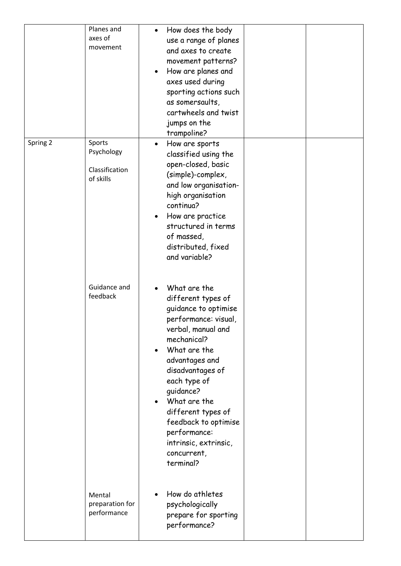|          | Planes and<br>axes of<br>movement                   | How does the body<br>$\bullet$<br>use a range of planes<br>and axes to create<br>movement patterns?<br>How are planes and<br>$\bullet$<br>axes used during<br>sporting actions such<br>as somersaults,<br>cartwheels and twist<br>jumps on the<br>trampoline?                                                                                 |
|----------|-----------------------------------------------------|-----------------------------------------------------------------------------------------------------------------------------------------------------------------------------------------------------------------------------------------------------------------------------------------------------------------------------------------------|
| Spring 2 | Sports<br>Psychology<br>Classification<br>of skills | How are sports<br>$\bullet$<br>classified using the<br>open-closed, basic<br>(simple)-complex,<br>and low organisation-<br>high organisation<br>continua?<br>How are practice<br>structured in terms<br>of massed,<br>distributed, fixed<br>and variable?                                                                                     |
|          | Guidance and<br>feedback                            | What are the<br>different types of<br>guidance to optimise<br>performance: visual,<br>verbal, manual and<br>mechanical?<br>What are the<br>advantages and<br>disadvantages of<br>each type of<br>guidance?<br>What are the<br>different types of<br>feedback to optimise<br>performance:<br>intrinsic, extrinsic,<br>concurrent,<br>terminal? |
|          | Mental<br>preparation for<br>performance            | How do athletes<br>psychologically<br>prepare for sporting<br>performance?                                                                                                                                                                                                                                                                    |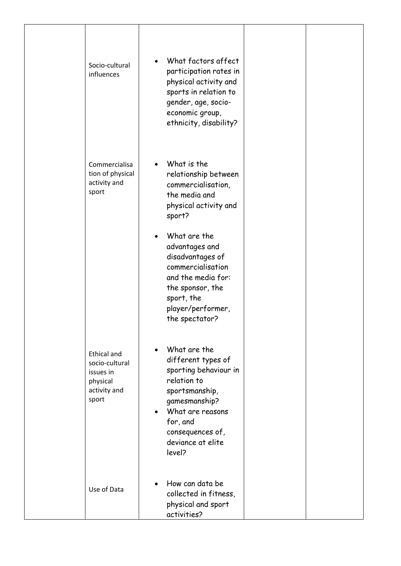| Socio-cultural<br>influences                                                           | What factors affect<br>$\bullet$<br>participation rates in<br>physical activity and<br>sports in relation to<br>gender, age, socio-<br>economic group,<br>ethnicity, disability?                                                                                                        |  |
|----------------------------------------------------------------------------------------|-----------------------------------------------------------------------------------------------------------------------------------------------------------------------------------------------------------------------------------------------------------------------------------------|--|
| Commercialisa<br>tion of physical<br>activity and<br>sport                             | What is the<br>relationship between<br>commercialisation,<br>the media and<br>physical activity and<br>sport?<br>What are the<br>advantages and<br>disadvantages of<br>commercialisation<br>and the media for:<br>the sponsor, the<br>sport, the<br>player/performer,<br>the spectator? |  |
| <b>Ethical and</b><br>socio-cultural<br>issues in<br>physical<br>activity and<br>sport | What are the<br>different types of<br>sporting behaviour in<br>relation to<br>sportsmanship,<br>gamesmanship?<br>What are reasons<br>for, and<br>consequences of,<br>deviance at elite<br>level?                                                                                        |  |
| Use of Data                                                                            | How can data be<br>collected in fitness,<br>physical and sport<br>activities?                                                                                                                                                                                                           |  |